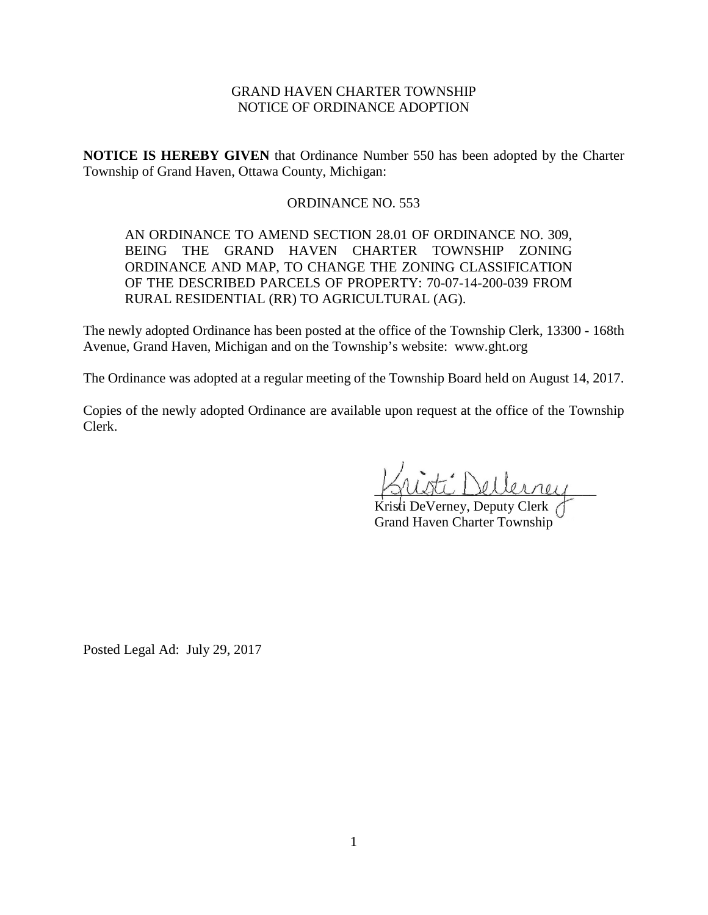# GRAND HAVEN CHARTER TOWNSHIP NOTICE OF ORDINANCE ADOPTION

**NOTICE IS HEREBY GIVEN** that Ordinance Number 550 has been adopted by the Charter Township of Grand Haven, Ottawa County, Michigan:

## ORDINANCE NO. 553

AN ORDINANCE TO AMEND SECTION 28.01 OF ORDINANCE NO. 309, BEING THE GRAND HAVEN CHARTER TOWNSHIP ZONING ORDINANCE AND MAP, TO CHANGE THE ZONING CLASSIFICATION OF THE DESCRIBED PARCELS OF PROPERTY: 70-07-14-200-039 FROM RURAL RESIDENTIAL (RR) TO AGRICULTURAL (AG).

The newly adopted Ordinance has been posted at the office of the Township Clerk, 13300 - 168th Avenue, Grand Haven, Michigan and on the Township's website: www.ght.org

The Ordinance was adopted at a regular meeting of the Township Board held on August 14, 2017.

Copies of the newly adopted Ordinance are available upon request at the office of the Township Clerk.

ti Dellerney

Kristi DeVerney, Deputy Clerk Grand Haven Charter Township

Posted Legal Ad: July 29, 2017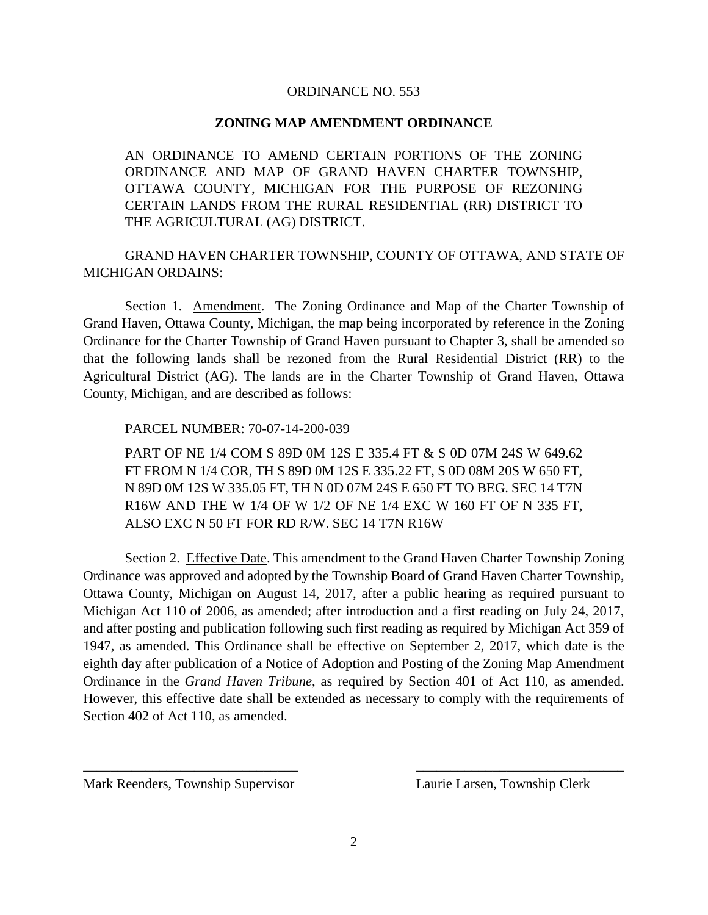### ORDINANCE NO. 553

### **ZONING MAP AMENDMENT ORDINANCE**

AN ORDINANCE TO AMEND CERTAIN PORTIONS OF THE ZONING ORDINANCE AND MAP OF GRAND HAVEN CHARTER TOWNSHIP, OTTAWA COUNTY, MICHIGAN FOR THE PURPOSE OF REZONING CERTAIN LANDS FROM THE RURAL RESIDENTIAL (RR) DISTRICT TO THE AGRICULTURAL (AG) DISTRICT.

GRAND HAVEN CHARTER TOWNSHIP, COUNTY OF OTTAWA, AND STATE OF MICHIGAN ORDAINS:

Section 1. Amendment. The Zoning Ordinance and Map of the Charter Township of Grand Haven, Ottawa County, Michigan, the map being incorporated by reference in the Zoning Ordinance for the Charter Township of Grand Haven pursuant to Chapter 3, shall be amended so that the following lands shall be rezoned from the Rural Residential District (RR) to the Agricultural District (AG). The lands are in the Charter Township of Grand Haven, Ottawa County, Michigan, and are described as follows:

### PARCEL NUMBER: 70-07-14-200-039

PART OF NE 1/4 COM S 89D 0M 12S E 335.4 FT & S 0D 07M 24S W 649.62 FT FROM N 1/4 COR, TH S 89D 0M 12S E 335.22 FT, S 0D 08M 20S W 650 FT, N 89D 0M 12S W 335.05 FT, TH N 0D 07M 24S E 650 FT TO BEG. SEC 14 T7N R16W AND THE W 1/4 OF W 1/2 OF NE 1/4 EXC W 160 FT OF N 335 FT, ALSO EXC N 50 FT FOR RD R/W. SEC 14 T7N R16W

Section 2. Effective Date. This amendment to the Grand Haven Charter Township Zoning Ordinance was approved and adopted by the Township Board of Grand Haven Charter Township, Ottawa County, Michigan on August 14, 2017, after a public hearing as required pursuant to Michigan Act 110 of 2006, as amended; after introduction and a first reading on July 24, 2017, and after posting and publication following such first reading as required by Michigan Act 359 of 1947, as amended. This Ordinance shall be effective on September 2, 2017, which date is the eighth day after publication of a Notice of Adoption and Posting of the Zoning Map Amendment Ordinance in the *Grand Haven Tribune*, as required by Section 401 of Act 110, as amended. However, this effective date shall be extended as necessary to comply with the requirements of Section 402 of Act 110, as amended.

Mark Reenders, Township Supervisor Laurie Larsen, Township Clerk

\_\_\_\_\_\_\_\_\_\_\_\_\_\_\_\_\_\_\_\_\_\_\_\_\_\_\_\_\_\_\_ \_\_\_\_\_\_\_\_\_\_\_\_\_\_\_\_\_\_\_\_\_\_\_\_\_\_\_\_\_\_